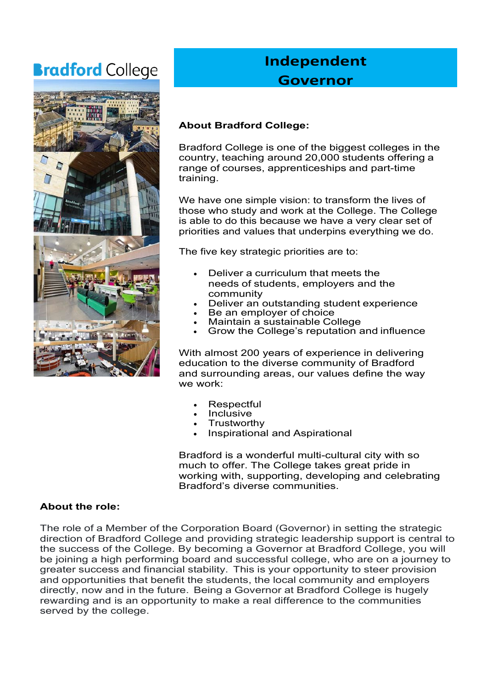# **Bradford** College



# **Independent Governor**

# **About Bradford College:**

Bradford College is one of the biggest colleges in the country, teaching around 20,000 students offering a range of courses, apprenticeships and part-time training.

We have one simple vision: to transform the lives of those who study and work at the College. The College is able to do this because we have a very clear set of priorities and values that underpins everything we do.

The five key strategic priorities are to:

- Deliver a curriculum that meets the needs of students, employers and the community
- Deliver an outstanding student experience
- Be an employer of choice
- Maintain a sustainable College
- Grow the College's reputation and influence

With almost 200 years of experience in delivering education to the diverse community of Bradford and surrounding areas, our values define the way we work:

- **Respectful**
- Inclusive
- **Trustworthy**
- Inspirational and Aspirational

Bradford is a wonderful multi-cultural city with so much to offer. The College takes great pride in working with, supporting, developing and celebrating Bradford's diverse communities.

## **About the role:**

The role of a Member of the Corporation Board (Governor) in setting the strategic direction of Bradford College and providing strategic leadership support is central to the success of the College. By becoming a Governor at Bradford College, you will be joining a high performing board and successful college, who are on a journey to greater success and financial stability. This is your opportunity to steer provision and opportunities that benefit the students, the local community and employers directly, now and in the future. Being a Governor at Bradford College is hugely rewarding and is an opportunity to make a real difference to the communities served by the college.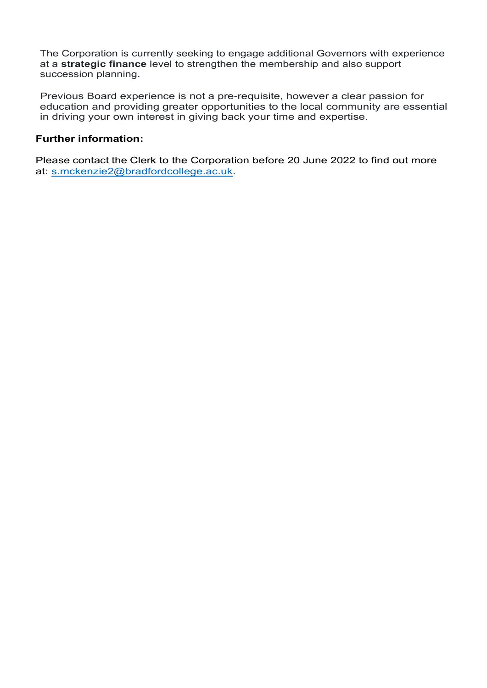The Corporation is currently seeking to engage additional Governors with experience at a **strategic finance** level to strengthen the membership and also support succession planning.

Previous Board experience is not a pre-requisite, however a clear passion for education and providing greater opportunities to the local community are essential in driving your own interest in giving back your time and expertise.

#### **Further information:**

Please contact the Clerk to the Corporation before 20 June 2022 to find out more at: [s.mckenzie2@bradfordcollege.ac.uk.](mailto:s.mckenzie2@bradfordcollege.ac.uk)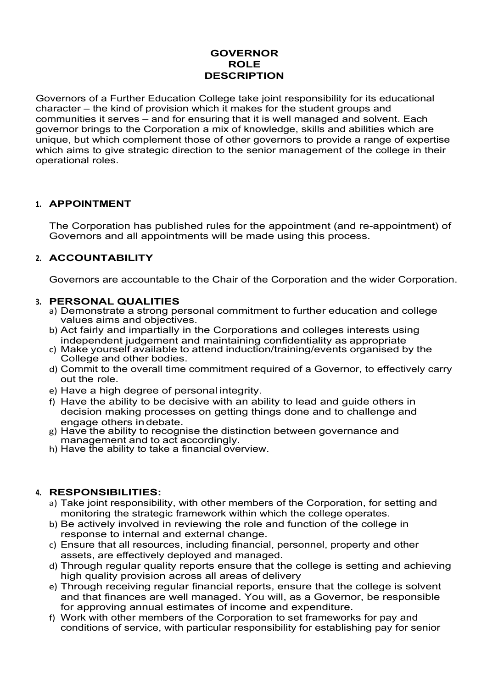#### **GOVERNOR ROLE DESCRIPTION**

Governors of a Further Education College take joint responsibility for its educational character – the kind of provision which it makes for the student groups and communities it serves – and for ensuring that it is well managed and solvent. Each governor brings to the Corporation a mix of knowledge, skills and abilities which are unique, but which complement those of other governors to provide a range of expertise which aims to give strategic direction to the senior management of the college in their operational roles.

#### **1. APPOINTMENT**

The Corporation has published rules for the appointment (and re-appointment) of Governors and all appointments will be made using this process.

#### **2. ACCOUNTABILITY**

Governors are accountable to the Chair of the Corporation and the wider Corporation.

#### **3. PERSONAL QUALITIES**

- a) Demonstrate a strong personal commitment to further education and college values aims and objectives.
- b) Act fairly and impartially in the Corporations and colleges interests using independent judgement and maintaining confidentiality as appropriate
- c) Make yourself available to attend induction/training/events organised by the College and other bodies.
- d) Commit to the overall time commitment required of a Governor, to effectively carry out the role.
- e) Have a high degree of personal integrity.
- f) Have the ability to be decisive with an ability to lead and guide others in decision making processes on getting things done and to challenge and engage others indebate.
- g) Have the ability to recognise the distinction between governance and management and to act accordingly.
- h) Have the ability to take a financial overview.

## **4. RESPONSIBILITIES:**

- a) Take joint responsibility, with other members of the Corporation, for setting and monitoring the strategic framework within which the college operates.
- b) Be actively involved in reviewing the role and function of the college in response to internal and external change.
- c) Ensure that all resources, including financial, personnel, property and other assets, are effectively deployed and managed.
- d) Through regular quality reports ensure that the college is setting and achieving high quality provision across all areas of delivery
- e) Through receiving regular financial reports, ensure that the college is solvent and that finances are well managed. You will, as a Governor, be responsible for approving annual estimates of income and expenditure.
- f) Work with other members of the Corporation to set frameworks for pay and conditions of service, with particular responsibility for establishing pay for senior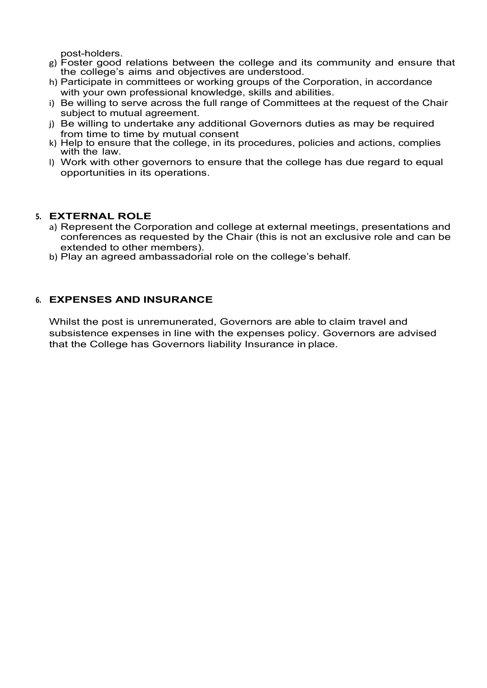post-holders.

- g) Foster good relations between the college and its community and ensure that the college's aims and objectives are understood.
- h) Participate in committees or working groups of the Corporation, in accordance with your own professional knowledge, skills and abilities.
- i) Be willing to serve across the full range of Committees at the request of the Chair subject to mutual agreement.
- j) Be willing to undertake any additional Governors duties as may be required from time to time by mutual consent
- k) Help to ensure that the college, in its procedures, policies and actions, complies with the law.
- l) Work with other governors to ensure that the college has due regard to equal opportunities in its operations.

#### **5. EXTERNAL ROLE**

- a) Represent the Corporation and college at external meetings, presentations and conferences as requested by the Chair (this is not an exclusive role and can be extended to other members).
- b) Play an agreed ambassadorial role on the college's behalf.

#### **6. EXPENSES AND INSURANCE**

Whilst the post is unremunerated, Governors are able to claim travel and subsistence expenses in line with the expenses policy. Governors are advised that the College has Governors liability Insurance in place.